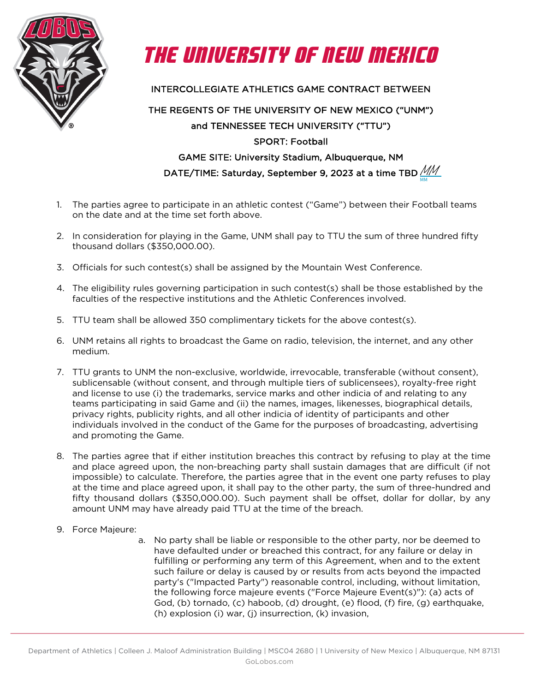



INTERCOLLEGIATE ATHLETICS GAME CONTRACT BETWEEN

## THE REGENTS OF THE UNIVERSITY OF NEW MEXICO ("UNM") and TENNESSEE TECH UNIVERSITY ("TTU") SPORT: Football GAME SITE: University Stadium, Albuquerque, NM DATE/TIME: Saturday, September 9, 2023 at a time TBD  $\cancel{\text{MM}}$

MM

- 1. The parties agree to participate in an athletic contest ("Game") between their Football teams on the date and at the time set forth above.
- 2. In consideration for playing in the Game, UNM shall pay to TTU the sum of three hundred fifty thousand dollars (\$350,000.00).
- 3. Officials for such contest(s) shall be assigned by the Mountain West Conference.
- 4. The eligibility rules governing participation in such contest(s) shall be those established by the faculties of the respective institutions and the Athletic Conferences involved.
- 5. TTU team shall be allowed 350 complimentary tickets for the above contest(s).
- 6. UNM retains all rights to broadcast the Game on radio, television, the internet, and any other medium.
- 7. TTU grants to UNM the non-exclusive, worldwide, irrevocable, transferable (without consent), sublicensable (without consent, and through multiple tiers of sublicensees), royalty-free right and license to use (i) the trademarks, service marks and other indicia of and relating to any teams participating in said Game and (ii) the names, images, likenesses, biographical details, privacy rights, publicity rights, and all other indicia of identity of participants and other individuals involved in the conduct of the Game for the purposes of broadcasting, advertising and promoting the Game.
- 8. The parties agree that if either institution breaches this contract by refusing to play at the time and place agreed upon, the non-breaching party shall sustain damages that are difficult (if not impossible) to calculate. Therefore, the parties agree that in the event one party refuses to play at the time and place agreed upon, it shall pay to the other party, the sum of three-hundred and fifty thousand dollars (\$350,000.00). Such payment shall be offset, dollar for dollar, by any amount UNM may have already paid TTU at the time of the breach.
- 9. Force Majeure:
	- a. No party shall be liable or responsible to the other party, nor be deemed to have defaulted under or breached this contract, for any failure or delay in fulfilling or performing any term of this Agreement, when and to the extent such failure or delay is caused by or results from acts beyond the impacted party's ("Impacted Party") reasonable control, including, without limitation, the following force majeure events ("Force Majeure Event(s)"): (a) acts of God, (b) tornado, (c) haboob, (d) drought, (e) flood, (f) fire, (g) earthquake, (h) explosion (i) war, (j) insurrection, (k) invasion,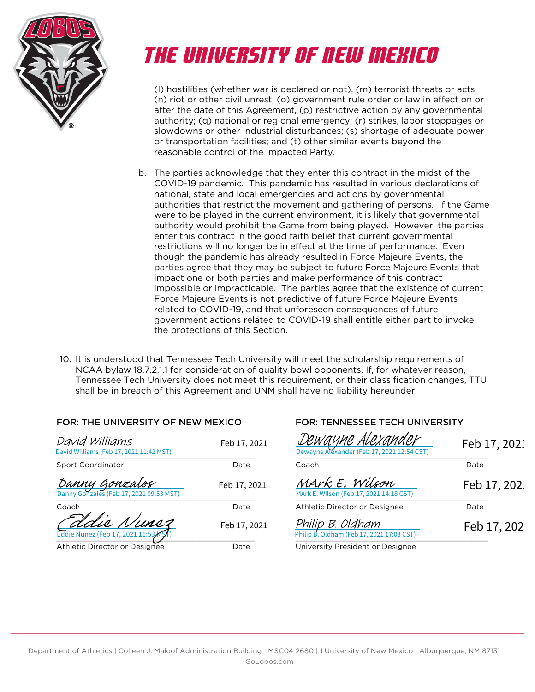

# THE UNIVERSITY OF NEW MEXICO

(l) hostilities (whether war is declared or not), (m) terrorist threats or acts, (n) riot or other civil unrest; (o) government rule order or law in effect on or after the date of this Agreement, (p) restrictive action by any governmental authority; (q) national or regional emergency; (r) strikes, labor stoppages or slowdowns or other industrial disturbances; (s) shortage of adequate power or transportation facilities; and (t) other similar events beyond the reasonable control of the Impacted Party.

- b. The parties acknowledge that they enter this contract in the midst of the COVID-19 pandemic. This pandemic has resulted in various declarations of national, state and local emergencies and actions by governmental authorities that restrict the movement and gathering of persons. If the Game were to be played in the current environment, it is likely that governmental authority would prohibit the Game from being played. However, the parties enter this contract in the good faith belief that current governmental restrictions will no longer be in effect at the time of performance. Even though the pandemic has already resulted in Force Majeure Events, the parties agree that they may be subject to future Force Majeure Events that impact one or both parties and make performance of this contract impossible or impracticable. The parties agree that the existence of current Force Majeure Events is not predictive of future Force Majeure Events related to COVID-19, and that unforeseen consequences of future government actions related to COVID-19 shall entitle either part to invoke the protections of this Section.
- 10. It is understood that Tennessee Tech University will meet the scholarship requirements of NCAA bylaw 18.7.2.1.1 for consideration of quality bowl opponents. If, for whatever reason, Tennessee Tech University does not meet this requirement, or their classification changes, TTU shall be in breach of this Agreement and UNM shall have no liability hereunder.

### FOR: THE UNIVERSITY OF NEW MEXICO FOR: TENNESSEE TECH UNIVERSITY

| David Williams<br>David Williams (Feb 17, 2021 11:42 MST) | Feb 17, 2021                  | <u>Dewayne Alexander</u><br>Dewayne Alexander (Feb 17, 2021 12:54 CST) | Feb <sub>1</sub> |
|-----------------------------------------------------------|-------------------------------|------------------------------------------------------------------------|------------------|
| Sport Coordinator                                         | Date                          | Coach                                                                  | Date             |
| Danny Gonzales                                            | Feb 17, 2021                  | MArk E. Wilson<br>MArk E. Wilson (Feb 17, 2021 14:18 CST)              | Feb 1            |
| Coach                                                     | Date                          | Athletic Director or Designee                                          | Date             |
| Eddie Nunez (Feb 17, 2021 11:53/15)                       | Feb 17, 2021                  | Philip B. Oldham<br>Philip B. Oldham (Feb 17, 2021 17:03 CST)          | Feb :            |
| Attitute Discussion on Declared                           | $\mathbb{R}$ - $\mathbb{R}$ - | Habitantha Roccident co Residence                                      |                  |

Athletic Director or Designee Date University President or Designee

| Dewayne ALexander<br>Dewayne Alexander (Feb 17, 2021 12:54 CST) | Feb 17, 2021 |
|-----------------------------------------------------------------|--------------|
| Coach                                                           | Date         |
| MArk E. Wilson<br>MArk E. Wilson (Feb 17, 2021 14:18 CST)       | Feb 17, 202. |
| Athletic Director or Designee                                   | Date         |
| Philip B. Oldham<br>Philip B. Oldham (Feb 17, 2021 17:03 CST)   | Feb 17, 202  |
| Linivarsity Prasident or Designee                               |              |